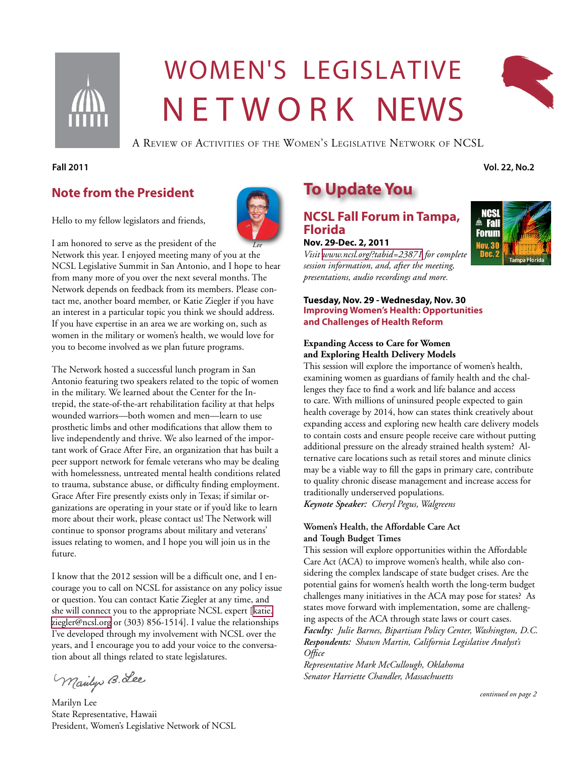

# Women's legislative N E T W O R K NEWS



A Review of Activities of the Women's Legislative Network of NCSL

#### **Fall 2011 Vol. 22, No.2**

### **Note from the President**

Hello to my fellow legislators and friends,

I am honored to serve as the president of the Network this year. I enjoyed meeting many of you at the NCSL Legislative Summit in San Antonio, and I hope to hear from many more of you over the next several months. The Network depends on feedback from its members. Please contact me, another board member, or Katie Ziegler if you have an interest in a particular topic you think we should address. If you have expertise in an area we are working on, such as women in the military or women's health, we would love for you to become involved as we plan future programs. *Lee*

The Network hosted a successful lunch program in San Antonio featuring two speakers related to the topic of women in the military. We learned about the Center for the Intrepid, the state-of-the-art rehabilitation facility at that helps wounded warriors—both women and men—learn to use prosthetic limbs and other modifications that allow them to live independently and thrive. We also learned of the important work of Grace After Fire, an organization that has built a peer support network for female veterans who may be dealing with homelessness, untreated mental health conditions related to trauma, substance abuse, or difficulty finding employment. Grace After Fire presently exists only in Texas; if similar organizations are operating in your state or if you'd like to learn more about their work, please contact us! The Network will continue to sponsor programs about military and veterans' issues relating to women, and I hope you will join us in the future.

I know that the 2012 session will be a difficult one, and I encourage you to call on NCSL for assistance on any policy issue or question. You can contact Katie Ziegler at any time, and she will connect you to the appropriate NCSL expert [\[katie.](mailto:katie.ziegler@ncsl.org) [ziegler@ncsl.org](mailto:katie.ziegler@ncsl.org) or (303) 856-1514]. I value the relationships I've developed through my involvement with NCSL over the years, and I encourage you to add your voice to the conversation about all things related to state legislatures.

Mailys B. Lee

Marilyn Lee State Representative, Hawaii President, Women's Legislative Network of NCSL

# **To Update You**

#### **NCSL Fall Forum in Tampa, Florida Nov. 29-Dec. 2, 2011**

*Visit <www.ncsl.org/?tabid=23871> for complete session information, and, after the meeting, presentations, audio recordings and more.*

#### **Tuesday, Nov. 29 - Wednesday, Nov. 30 Improving Women's Health: Opportunities and Challenges of Health Reform**

#### **Expanding Access to Care for Women and Exploring Health Delivery Models**

This session will explore the importance of women's health, examining women as guardians of family health and the challenges they face to find a work and life balance and access to care. With millions of uninsured people expected to gain health coverage by 2014, how can states think creatively about expanding access and exploring new health care delivery models to contain costs and ensure people receive care without putting additional pressure on the already strained health system? Alternative care locations such as retail stores and minute clinics may be a viable way to fill the gaps in primary care, contribute to quality chronic disease management and increase access for traditionally underserved populations.

*Keynote Speaker: Cheryl Pegus, Walgreens* 

#### **Women's Health, the Affordable Care Act and Tough Budget Times**

This session will explore opportunities within the Affordable Care Act (ACA) to improve women's health, while also considering the complex landscape of state budget crises. Are the potential gains for women's health worth the long-term budget challenges many initiatives in the ACA may pose for states? As states move forward with implementation, some are challenging aspects of the ACA through state laws or court cases. *Faculty: Julie Barnes, Bipartisan Policy Center, Washington, D.C. Respondents: Shawn Martin, California Legislative Analyst's Office*

*Representative Mark McCullough, Oklahoma Senator Harriette Chandler, Massachusetts*

*continued on page 2*

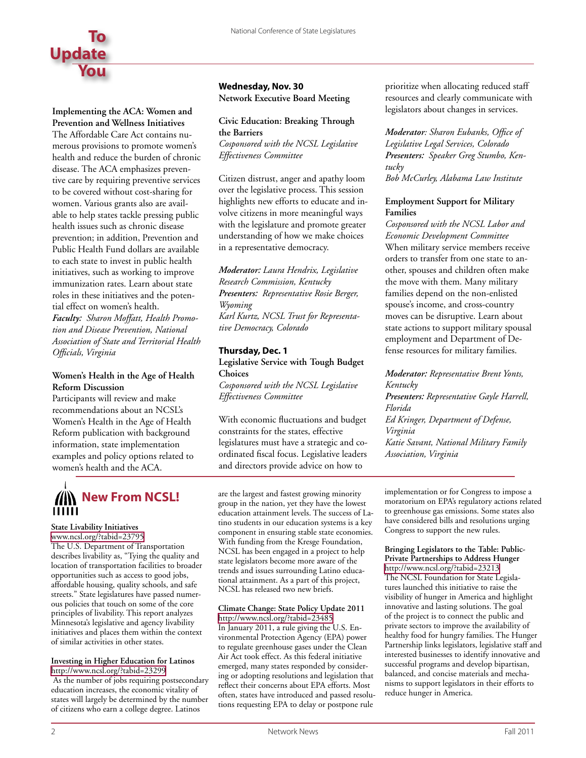

#### **Implementing the ACA: Women and**

**Prevention and Wellness Initiatives** The Affordable Care Act contains numerous provisions to promote women's health and reduce the burden of chronic disease. The ACA emphasizes preventive care by requiring preventive services to be covered without cost-sharing for women. Various grants also are available to help states tackle pressing public health issues such as chronic disease prevention; in addition, Prevention and Public Health Fund dollars are available to each state to invest in public health initiatives, such as working to improve immunization rates. Learn about state roles in these initiatives and the potential effect on women's health. *Faculty: Sharon Moffatt, Health Promotion and Disease Prevention, National* 

*Association of State and Territorial Health Officials, Virginia*

#### **Women's Health in the Age of Health Reform Discussion**

Participants will review and make recommendations about an NCSL's Women's Health in the Age of Health Reform publication with background information, state implementation examples and policy options related to women's health and the ACA.

# **AN New From NCSL!**

#### **State Livability Initiatives**

<www.ncsl.org/?tabid=23795> The U.S. Department of Transportation describes livability as, "Tying the quality and location of transportation facilities to broader opportunities such as access to good jobs, affordable housing, quality schools, and safe streets." State legislatures have passed numerous policies that touch on some of the core principles of livability. This report analyzes Minnesota's legislative and agency livability initiatives and places them within the context of similar activities in other states.

#### **Investing in Higher Education for Latinos**

<http://www.ncsl.org/?tabid=23299> As the number of jobs requiring postsecondary education increases, the economic vitality of states will largely be determined by the number of citizens who earn a college degree. Latinos

**Wednesday, Nov. 30 Network Executive Board Meeting**

#### **Civic Education: Breaking Through the Barriers**

*Cosponsored with the NCSL Legislative Effectiveness Committee*

Citizen distrust, anger and apathy loom over the legislative process. This session highlights new efforts to educate and involve citizens in more meaningful ways with the legislature and promote greater understanding of how we make choices in a representative democracy.

*Moderator: Laura Hendrix, Legislative Research Commission, Kentucky Presenters: Representative Rosie Berger, Wyoming Karl Kurtz, NCSL Trust for Representative Democracy, Colorado*

#### **Thursday, Dec. 1**

**Legislative Service with Tough Budget Choices**

*Cosponsored with the NCSL Legislative Effectiveness Committee*

With economic fluctuations and budget constraints for the states, effective legislatures must have a strategic and coordinated fiscal focus. Legislative leaders and directors provide advice on how to

are the largest and fastest growing minority group in the nation, yet they have the lowest education attainment levels. The success of Latino students in our education systems is a key component in ensuring stable state economies. With funding from the Kresge Foundation, NCSL has been engaged in a project to help state legislators become more aware of the trends and issues surrounding Latino educational attainment. As a part of this project, NCSL has released two new briefs.

#### **Climate Change: State Policy Update 2011**

<http://www.ncsl.org/?tabid=23485> In January 2011, a rule giving the U.S. Environmental Protection Agency (EPA) power to regulate greenhouse gases under the Clean Air Act took effect. As this federal initiative emerged, many states responded by considering or adopting resolutions and legislation that reflect their concerns about EPA efforts. Most often, states have introduced and passed resolutions requesting EPA to delay or postpone rule

prioritize when allocating reduced staff resources and clearly communicate with legislators about changes in services.

*Moderator: Sharon Eubanks, Office of Legislative Legal Services, Colorado Presenters: Speaker Greg Stumbo, Kentucky Bob McCurley, Alabama Law Institute*

#### **Employment Support for Military Families**

*Cosponsored with the NCSL Labor and Economic Development Committee* When military service members receive orders to transfer from one state to another, spouses and children often make the move with them. Many military families depend on the non-enlisted spouse's income, and cross-country moves can be disruptive. Learn about state actions to support military spousal employment and Department of Defense resources for military families.

*Moderator: Representative Brent Yonts, Kentucky Presenters: Representative Gayle Harrell, Florida Ed Kringer, Department of Defense, Virginia Katie Savant, National Military Family Association, Virginia*

implementation or for Congress to impose a moratorium on EPA's regulatory actions related to greenhouse gas emissions. Some states also have considered bills and resolutions urging Congress to support the new rules.

**Bringing Legislators to the Table: Public-Private Partnerships to Address Hunger** <http://www.ncsl.org/?tabid=23213> The NCSL Foundation for State Legislatures launched this initiative to raise the visibility of hunger in America and highlight innovative and lasting solutions. The goal of the project is to connect the public and private sectors to improve the availability of healthy food for hungry families. The Hunger Partnership links legislators, legislative staff and interested businesses to identify innovative and successful programs and develop bipartisan, balanced, and concise materials and mechanisms to support legislators in their efforts to reduce hunger in America.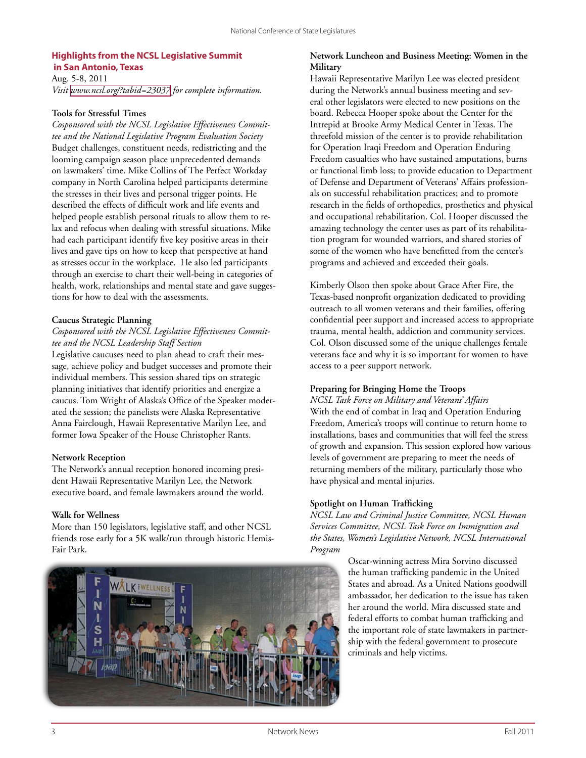#### **Highlights from the NCSL Legislative Summit in San Antonio, Texas**

Aug. 5-8, 2011 *Visit <www.ncsl.org/?tabid=23037> for complete information.*

#### **Tools for Stressful Times**

*Cosponsored with the NCSL Legislative Effectiveness Committee and the National Legislative Program Evaluation Society* Budget challenges, constituent needs, redistricting and the looming campaign season place unprecedented demands on lawmakers' time. Mike Collins of The Perfect Workday company in North Carolina helped participants determine the stresses in their lives and personal trigger points. He described the effects of difficult work and life events and helped people establish personal rituals to allow them to relax and refocus when dealing with stressful situations. Mike had each participant identify five key positive areas in their lives and gave tips on how to keep that perspective at hand as stresses occur in the workplace. He also led participants through an exercise to chart their well-being in categories of health, work, relationships and mental state and gave suggestions for how to deal with the assessments.

#### **Caucus Strategic Planning**

#### *Cosponsored with the NCSL Legislative Effectiveness Committee and the NCSL Leadership Staff Section*

Legislative caucuses need to plan ahead to craft their message, achieve policy and budget successes and promote their individual members. This session shared tips on strategic planning initiatives that identify priorities and energize a caucus. Tom Wright of Alaska's Office of the Speaker moderated the session; the panelists were Alaska Representative Anna Fairclough, Hawaii Representative Marilyn Lee, and former Iowa Speaker of the House Christopher Rants.

#### **Network Reception**

The Network's annual reception honored incoming president Hawaii Representative Marilyn Lee, the Network executive board, and female lawmakers around the world.

#### **Walk for Wellness**

More than 150 legislators, legislative staff, and other NCSL friends rose early for a 5K walk/run through historic Hemis-Fair Park.



#### **Network Luncheon and Business Meeting: Women in the Military**

Hawaii Representative Marilyn Lee was elected president during the Network's annual business meeting and several other legislators were elected to new positions on the board. Rebecca Hooper spoke about the Center for the Intrepid at Brooke Army Medical Center in Texas. The threefold mission of the center is to provide rehabilitation for Operation Iraqi Freedom and Operation Enduring Freedom casualties who have sustained amputations, burns or functional limb loss; to provide education to Department of Defense and Department of Veterans' Affairs professionals on successful rehabilitation practices; and to promote research in the fields of orthopedics, prosthetics and physical and occupational rehabilitation. Col. Hooper discussed the amazing technology the center uses as part of its rehabilitation program for wounded warriors, and shared stories of some of the women who have benefitted from the center's programs and achieved and exceeded their goals.

Kimberly Olson then spoke about Grace After Fire, the Texas-based nonprofit organization dedicated to providing outreach to all women veterans and their families, offering confidential peer support and increased access to appropriate trauma, mental health, addiction and community services. Col. Olson discussed some of the unique challenges female veterans face and why it is so important for women to have access to a peer support network.

#### **Preparing for Bringing Home the Troops**

*NCSL Task Force on Military and Veterans' Affairs* With the end of combat in Iraq and Operation Enduring Freedom, America's troops will continue to return home to installations, bases and communities that will feel the stress of growth and expansion. This session explored how various levels of government are preparing to meet the needs of returning members of the military, particularly those who have physical and mental injuries.

#### **Spotlight on Human Trafficking**

*NCSL Law and Criminal Justice Committee, NCSL Human Services Committee, NCSL Task Force on Immigration and the States, Women's Legislative Network, NCSL International Program*

> Oscar-winning actress Mira Sorvino discussed the human trafficking pandemic in the United States and abroad. As a United Nations goodwill ambassador, her dedication to the issue has taken her around the world. Mira discussed state and federal efforts to combat human trafficking and the important role of state lawmakers in partnership with the federal government to prosecute criminals and help victims.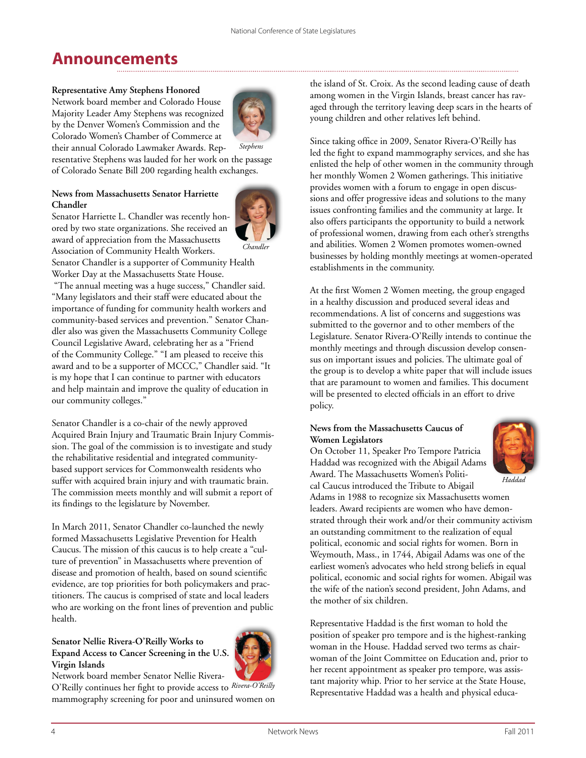# **Announcements**

#### **Representative Amy Stephens Honored**

Network board member and Colorado House Majority Leader Amy Stephens was recognized by the Denver Women's Commission and the Colorado Women's Chamber of Commerce at their annual Colorado Lawmaker Awards. Rep-



resentative Stephens was lauded for her work on the passage of Colorado Senate Bill 200 regarding health exchanges.

#### **News from Massachusetts Senator Harriette Chandler**

Senator Harriette L. Chandler was recently honored by two state organizations. She received an award of appreciation from the Massachusetts Association of Community Health Workers.



Senator Chandler is a supporter of Community Health Worker Day at the Massachusetts State House.

 "The annual meeting was a huge success," Chandler said. "Many legislators and their staff were educated about the importance of funding for community health workers and community-based services and prevention." Senator Chandler also was given the Massachusetts Community College Council Legislative Award, celebrating her as a "Friend of the Community College." "I am pleased to receive this award and to be a supporter of MCCC," Chandler said. "It is my hope that I can continue to partner with educators and help maintain and improve the quality of education in our community colleges."

Senator Chandler is a co-chair of the newly approved Acquired Brain Injury and Traumatic Brain Injury Commission. The goal of the commission is to investigate and study the rehabilitative residential and integrated communitybased support services for Commonwealth residents who suffer with acquired brain injury and with traumatic brain. The commission meets monthly and will submit a report of its findings to the legislature by November.

In March 2011, Senator Chandler co-launched the newly formed Massachusetts Legislative Prevention for Health Caucus. The mission of this caucus is to help create a "culture of prevention" in Massachusetts where prevention of disease and promotion of health, based on sound scientific evidence, are top priorities for both policymakers and practitioners. The caucus is comprised of state and local leaders who are working on the front lines of prevention and public health.

#### **Senator Nellie Rivera-O'Reilly Works to Expand Access to Cancer Screening in the U.S. Virgin Islands**



Network board member Senator Nellie Rivera-

O'Reilly continues her fight to provide access to *Rivera-O'Reilly* mammography screening for poor and uninsured women on the island of St. Croix. As the second leading cause of death among women in the Virgin Islands, breast cancer has ravaged through the territory leaving deep scars in the hearts of young children and other relatives left behind.

Since taking office in 2009, Senator Rivera-O'Reilly has led the fight to expand mammography services, and she has enlisted the help of other women in the community through her monthly Women 2 Women gatherings. This initiative provides women with a forum to engage in open discussions and offer progressive ideas and solutions to the many issues confronting families and the community at large. It also offers participants the opportunity to build a network of professional women, drawing from each other's strengths and abilities. Women 2 Women promotes women-owned businesses by holding monthly meetings at women-operated establishments in the community.

At the first Women 2 Women meeting, the group engaged in a healthy discussion and produced several ideas and recommendations. A list of concerns and suggestions was submitted to the governor and to other members of the Legislature. Senator Rivera-O'Reilly intends to continue the monthly meetings and through discussion develop consensus on important issues and policies. The ultimate goal of the group is to develop a white paper that will include issues that are paramount to women and families. This document will be presented to elected officials in an effort to drive policy.

#### **News from the Massachusetts Caucus of Women Legislators**

On October 11, Speaker Pro Tempore Patricia Haddad was recognized with the Abigail Adams Award. The Massachusetts Women's Political Caucus introduced the Tribute to Abigail Adams in 1988 to recognize six Massachusetts women leaders. Award recipients are women who have demonstrated through their work and/or their community activism an outstanding commitment to the realization of equal political, economic and social rights for women. Born in Weymouth, Mass., in 1744, Abigail Adams was one of the earliest women's advocates who held strong beliefs in equal political, economic and social rights for women. Abigail was the wife of the nation's second president, John Adams, and the mother of six children. *Haddad*

Representative Haddad is the first woman to hold the position of speaker pro tempore and is the highest-ranking woman in the House. Haddad served two terms as chairwoman of the Joint Committee on Education and, prior to her recent appointment as speaker pro tempore, was assistant majority whip. Prior to her service at the State House, Representative Haddad was a health and physical educa-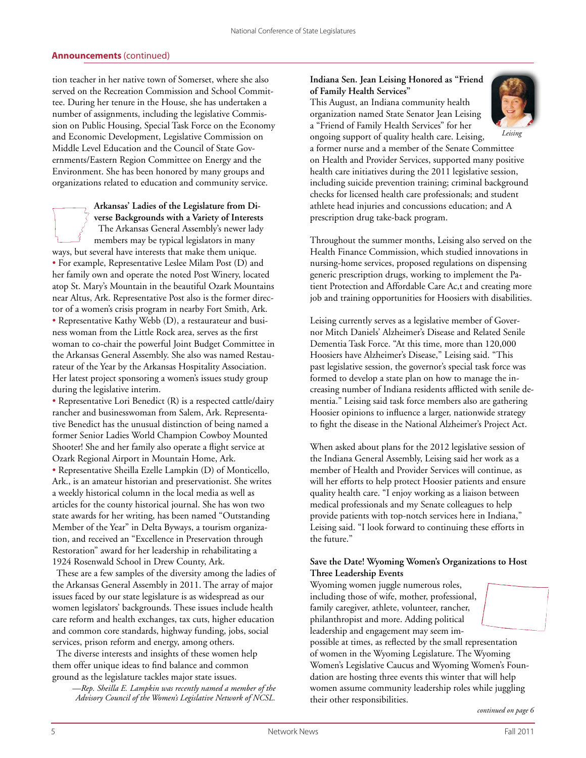#### **Announcements** (continued)

tion teacher in her native town of Somerset, where she also served on the Recreation Commission and School Committee. During her tenure in the House, she has undertaken a number of assignments, including the legislative Commission on Public Housing, Special Task Force on the Economy and Economic Development, Legislative Commission on Middle Level Education and the Council of State Governments/Eastern Region Committee on Energy and the Environment. She has been honored by many groups and organizations related to education and community service.

#### **Arkansas' Ladies of the Legislature from Diverse Backgrounds with a Variety of Interests**

 The Arkansas General Assembly's newer lady members may be typical legislators in many ways, but several have interests that make them unique. • For example, Representative Leslee Milam Post (D) and her family own and operate the noted Post Winery, located atop St. Mary's Mountain in the beautiful Ozark Mountains near Altus, Ark. Representative Post also is the former director of a women's crisis program in nearby Fort Smith, Ark.

• Representative Kathy Webb (D), a restaurateur and business woman from the Little Rock area, serves as the first woman to co-chair the powerful Joint Budget Committee in the Arkansas General Assembly. She also was named Restaurateur of the Year by the Arkansas Hospitality Association. Her latest project sponsoring a women's issues study group during the legislative interim.

• Representative Lori Benedict (R) is a respected cattle/dairy rancher and businesswoman from Salem, Ark. Representative Benedict has the unusual distinction of being named a former Senior Ladies World Champion Cowboy Mounted Shooter! She and her family also operate a flight service at Ozark Regional Airport in Mountain Home, Ark. • Representative Sheilla Ezelle Lampkin (D) of Monticello, Ark., is an amateur historian and preservationist. She writes a weekly historical column in the local media as well as articles for the county historical journal. She has won two state awards for her writing, has been named "Outstanding Member of the Year" in Delta Byways, a tourism organization, and received an "Excellence in Preservation through Restoration" award for her leadership in rehabilitating a 1924 Rosenwald School in Drew County, Ark.

 These are a few samples of the diversity among the ladies of the Arkansas General Assembly in 2011. The array of major issues faced by our state legislature is as widespread as our women legislators' backgrounds. These issues include health care reform and health exchanges, tax cuts, higher education and common core standards, highway funding, jobs, social services, prison reform and energy, among others.

 The diverse interests and insights of these women help them offer unique ideas to find balance and common ground as the legislature tackles major state issues.

 —*Rep. Sheilla E. Lampkin was recently named a member of the Advisory Council of the Women's Legislative Network of NCSL.*

#### **Indiana Sen. Jean Leising Honored as "Friend of Family Health Services"**

This August, an Indiana community health organization named State Senator Jean Leising a "Friend of Family Health Services" for her



*Leising*

ongoing support of quality health care. Leising, a former nurse and a member of the Senate Committee on Health and Provider Services, supported many positive health care initiatives during the 2011 legislative session, including suicide prevention training; criminal background checks for licensed health care professionals; and student athlete head injuries and concussions education; and A prescription drug take-back program.

Throughout the summer months, Leising also served on the Health Finance Commission, which studied innovations in nursing-home services, proposed regulations on dispensing generic prescription drugs, working to implement the Patient Protection and Affordable Care Ac,t and creating more job and training opportunities for Hoosiers with disabilities.

Leising currently serves as a legislative member of Governor Mitch Daniels' Alzheimer's Disease and Related Senile Dementia Task Force. "At this time, more than 120,000 Hoosiers have Alzheimer's Disease," Leising said. "This past legislative session, the governor's special task force was formed to develop a state plan on how to manage the increasing number of Indiana residents afflicted with senile dementia." Leising said task force members also are gathering Hoosier opinions to influence a larger, nationwide strategy to fight the disease in the National Alzheimer's Project Act.

When asked about plans for the 2012 legislative session of the Indiana General Assembly, Leising said her work as a member of Health and Provider Services will continue, as will her efforts to help protect Hoosier patients and ensure quality health care. "I enjoy working as a liaison between medical professionals and my Senate colleagues to help provide patients with top-notch services here in Indiana," Leising said. "I look forward to continuing these efforts in the future."

#### **Save the Date! Wyoming Women's Organizations to Host Three Leadership Events**

Wyoming women juggle numerous roles, including those of wife, mother, professional, family caregiver, athlete, volunteer, rancher, philanthropist and more. Adding political leadership and engagement may seem impossible at times, as reflected by the small representation

of women in the Wyoming Legislature. The Wyoming Women's Legislative Caucus and Wyoming Women's Foundation are hosting three events this winter that will help women assume community leadership roles while juggling their other responsibilities.

*continued on page 6*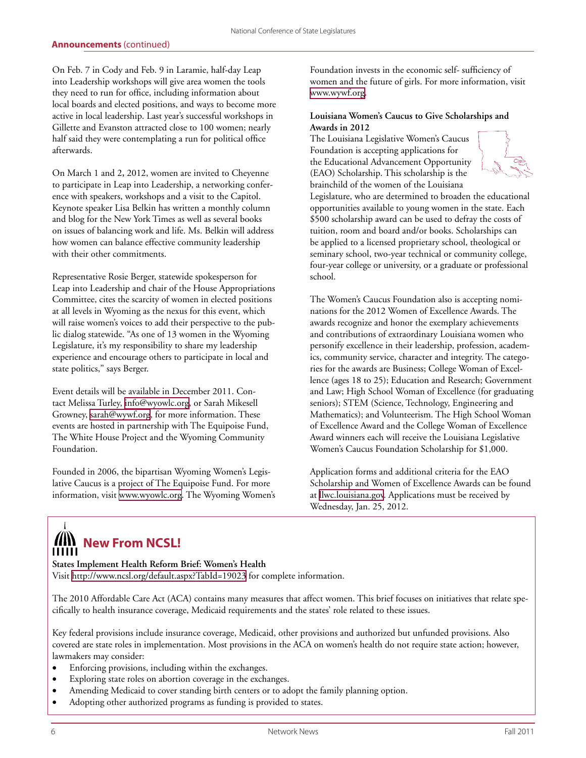On Feb. 7 in Cody and Feb. 9 in Laramie, half-day Leap into Leadership workshops will give area women the tools they need to run for office, including information about local boards and elected positions, and ways to become more active in local leadership. Last year's successful workshops in Gillette and Evanston attracted close to 100 women; nearly half said they were contemplating a run for political office afterwards.

On March 1 and 2**,** 2012, women are invited to Cheyenne to participate in Leap into Leadership, a networking conference with speakers, workshops and a visit to the Capitol. Keynote speaker Lisa Belkin has written a monthly column and blog for the New York Times as well as several books on issues of balancing work and life. Ms. Belkin will address how women can balance effective community leadership with their other commitments.

Representative Rosie Berger, statewide spokesperson for Leap into Leadership and chair of the House Appropriations Committee, cites the scarcity of women in elected positions at all levels in Wyoming as the nexus for this event, which will raise women's voices to add their perspective to the public dialog statewide. "As one of 13 women in the Wyoming Legislature, it's my responsibility to share my leadership experience and encourage others to participate in local and state politics," says Berger.

Event details will be available in December 2011. Contact Melissa Turley, [info@wyowlc.org](mailto:info@wyowlc.org), or Sarah Mikesell Growney, [sarah@wywf.org](mailto:sarah@wywf.org), for more information. These events are hosted in partnership with The Equipoise Fund, The White House Project and the Wyoming Community Foundation.

Founded in 2006, the bipartisan Wyoming Women's Legislative Caucus is a project of The Equipoise Fund. For more information, visit [www.wyowlc.org.](http://www.wyowlc.org) The Wyoming Women's Foundation invests in the economic self- sufficiency of women and the future of girls. For more information, visit <www.wywf.org>.

#### **Louisiana Women's Caucus to Give Scholarships and Awards in 2012**

The Louisiana Legislative Women's Caucus Foundation is accepting applications for the Educational Advancement Opportunity (EAO) Scholarship. This scholarship is the brainchild of the women of the Louisiana



Legislature, who are determined to broaden the educational opportunities available to young women in the state. Each \$500 scholarship award can be used to defray the costs of tuition, room and board and/or books. Scholarships can be applied to a licensed proprietary school, theological or seminary school, two-year technical or community college, four-year college or university, or a graduate or professional school.

The Women's Caucus Foundation also is accepting nominations for the 2012 Women of Excellence Awards. The awards recognize and honor the exemplary achievements and contributions of extraordinary Louisiana women who personify excellence in their leadership, profession, academics, community service, character and integrity. The categories for the awards are Business; College Woman of Excellence (ages 18 to 25); Education and Research; Government and Law; High School Woman of Excellence (for graduating seniors); STEM (Science, Technology, Engineering and Mathematics); and Volunteerism. The High School Woman of Excellence Award and the College Woman of Excellence Award winners each will receive the Louisiana Legislative Women's Caucus Foundation Scholarship for \$1,000.

Application forms and additional criteria for the EAO Scholarship and Women of Excellence Awards can be found at [llwc.louisiana.gov.](llwc.louisiana.gov) Applications must be received by Wednesday, Jan. 25, 2012.

### **WIL New From NCSL!**  $111111$

**States Implement Health Reform Brief: Women's Health** Visit<http://www.ncsl.org/default.aspx?TabId=19023> for complete information.

The 2010 Affordable Care Act (ACA) contains many measures that affect women. This brief focuses on initiatives that relate specifically to health insurance coverage, Medicaid requirements and the states' role related to these issues.

Key federal provisions include insurance coverage, Medicaid, other provisions and authorized but unfunded provisions. Also covered are state roles in implementation. Most provisions in the ACA on women's health do not require state action; however, lawmakers may consider:

- Enforcing provisions, including within the exchanges.
- Exploring state roles on abortion coverage in the exchanges.
- Amending Medicaid to cover standing birth centers or to adopt the family planning option.
- Adopting other authorized programs as funding is provided to states.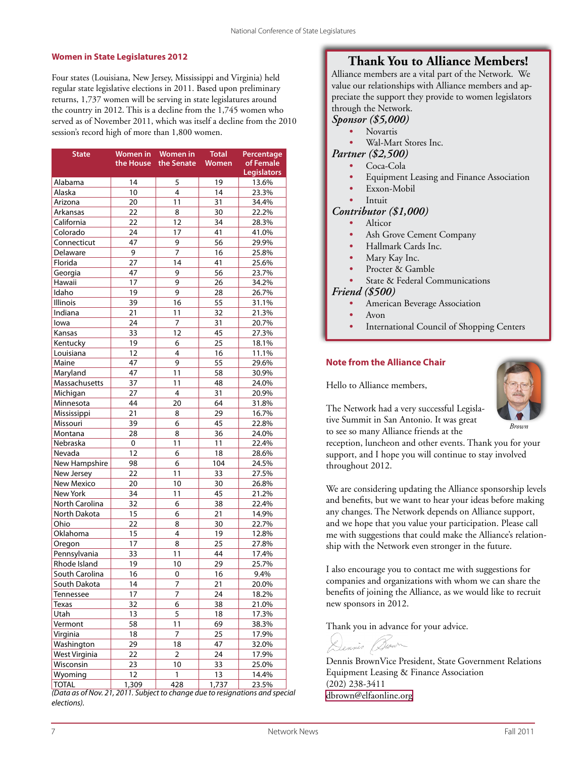#### **Women in State Legislatures 2012**

Four states (Louisiana, New Jersey, Mississippi and Virginia) held regular state legislative elections in 2011. Based upon preliminary returns, 1,737 women will be serving in state legislatures around the country in 2012. This is a decline from the 1,745 women who served as of November 2011, which was itself a decline from the 2010 session's record high of more than 1,800 women.

| <b>State</b>      | <b>Women in</b> | <b>Women</b> in | <b>Total</b> | Percentage                      |  |
|-------------------|-----------------|-----------------|--------------|---------------------------------|--|
|                   | the House       | the Senate      | Women        | of Female<br><b>Legislators</b> |  |
| Alabama           | 14              | 5               | 19           | 13.6%                           |  |
| Alaska            | 10              | 4               | 14           | 23.3%                           |  |
| Arizona           | 20              | 11              | 31           | 34.4%                           |  |
| Arkansas          | 22              | 8               | 30           | 22.2%                           |  |
| California        | 22              | 12              | 34           | 28.3%                           |  |
| Colorado          | 24              | 17              | 41           | 41.0%                           |  |
| Connecticut       | 47              | 9               | 56           | 29.9%                           |  |
| Delaware          | 9               | 7               | 16           | 25.8%                           |  |
| Florida           | 27              | 14              | 41           | 25.6%                           |  |
| Georgia           | 47              | 9               | 56           | 23.7%                           |  |
| Hawaii            | 17              | 9               | 26           | 34.2%                           |  |
| Idaho             | 19              | 9               | 28           | 26.7%                           |  |
| Illinois          | 39              | 16              | 55           | 31.1%                           |  |
| Indiana           | 21              | 11              | 32           | 21.3%                           |  |
| lowa              | 24              | $\overline{7}$  | 31           | 20.7%                           |  |
| Kansas            | 33              | 12              | 45           | 27.3%                           |  |
| Kentucky          | 19              | 6               | 25           | 18.1%                           |  |
| Louisiana         | 12              | 4               | 16           | 11.1%                           |  |
| Maine             | 47              | 9               | 55           | 29.6%                           |  |
| Maryland          | 47              | 11              | 58           | 30.9%                           |  |
| Massachusetts     | 37              | 11              | 48           | 24.0%                           |  |
| Michigan          | 27              | 4               | 31           | 20.9%                           |  |
| Minnesota         | 44              | 20              | 64           | 31.8%                           |  |
| Mississippi       | 21              | 8               | 29           | 16.7%                           |  |
| Missouri          | 39              | 6               | 45           | 22.8%                           |  |
| Montana           | 28              | 8               | 36           | 24.0%                           |  |
| Nebraska          | 0               | 11              | 11           | 22.4%                           |  |
| Nevada            | 12              | 6               | 18           | 28.6%                           |  |
| New Hampshire     | 98              | 6               | 104          | 24.5%                           |  |
| New Jersey        | 22              | 11              | 33           | 27.5%                           |  |
| <b>New Mexico</b> | 20              | 10              | 30           | 26.8%                           |  |
| New York          | 34              | 11              | 45           | 21.2%                           |  |
| North Carolina    | 32              | 6               | 38           | 22.4%                           |  |
| North Dakota      | 15              | 6               | 21           | 14.9%                           |  |
| Ohio              | 22              | 8               | 30           | 22.7%                           |  |
| Oklahoma          | 15              | $\overline{4}$  | 19           | 12.8%                           |  |
| Oregon            | 17              | 8               | 25           | 27.8%                           |  |
| Pennsylvania      | 33              | 11              | 44           | 17.4%                           |  |
| Rhode Island      | 19              | 10              | 29           | 25.7%                           |  |
| South Carolina    | 16              | 0               | 16           | 9.4%                            |  |
| South Dakota      | 14              | 7               | 21           | 20.0%                           |  |
| Tennessee         | 17              | 7               | 24           | 18.2%                           |  |
| Texas             | 32              | 6               | 38           | 21.0%                           |  |
| Utah              |                 | 5               |              |                                 |  |
| Vermont           | 13<br>58        | 11              | 18<br>69     | 17.3%<br>38.3%                  |  |
|                   |                 |                 |              |                                 |  |
| Virginia          | 18              | 7               | 25           | 17.9%                           |  |
| Washington        | 29              | 18              | 47           | 32.0%                           |  |
| West Virginia     | 22              | 2               | 24           | 17.9%                           |  |
| Wisconsin         | 23              | 10              | 33           | 25.0%                           |  |
| Wyoming           | 12              | 1               | 13           | 14.4%                           |  |
| <b>TOTAL</b>      | 1,309           | 428             | 1,737        | 23.5%                           |  |

*(Data as of Nov. 21, 2011. Subject to change due to resignations and special elections).*

#### **Thank You to Alliance Members!**

Alliance members are a vital part of the Network. We value our relationships with Alliance members and appreciate the support they provide to women legislators through the Network.

#### *Sponsor (\$5,000)*

- *•* Novartis
- *•* Wal-Mart Stores Inc.
- *Partner (\$2,500)*
	- *•* Coca-Cola
	- *•* Equipment Leasing and Finance Association
		- *•* Exxon-Mobil
	- *•* Intuit

#### *Contributor (\$1,000)*

- *•* Alticor
- *•* Ash Grove Cement Company
- *•* Hallmark Cards Inc.
- *•* Mary Kay Inc.
- *•* Procter & Gamble
- *•* State & Federal Communications

#### *Friend (\$500)*

- *•* American Beverage Association
- *•* Avon
- **International Council of Shopping Centers**

#### **Note from the Alliance Chair**

Hello to Alliance members,

The Network had a very successful Legislative Summit in San Antonio. It was great to see so many Alliance friends at the



*Brown*

reception, luncheon and other events. Thank you for your support, and I hope you will continue to stay involved throughout 2012.

We are considering updating the Alliance sponsorship levels and benefits, but we want to hear your ideas before making any changes. The Network depends on Alliance support, and we hope that you value your participation. Please call me with suggestions that could make the Alliance's relationship with the Network even stronger in the future.

I also encourage you to contact me with suggestions for companies and organizations with whom we can share the benefits of joining the Alliance, as we would like to recruit new sponsors in 2012.

Thank you in advance for your advice.

Dennis BrownVice President, State Government Relations Equipment Leasing & Finance Association (202) 238-3411 [dbrown@elfaonline.org](mailto:dbrown@elfaonline.org)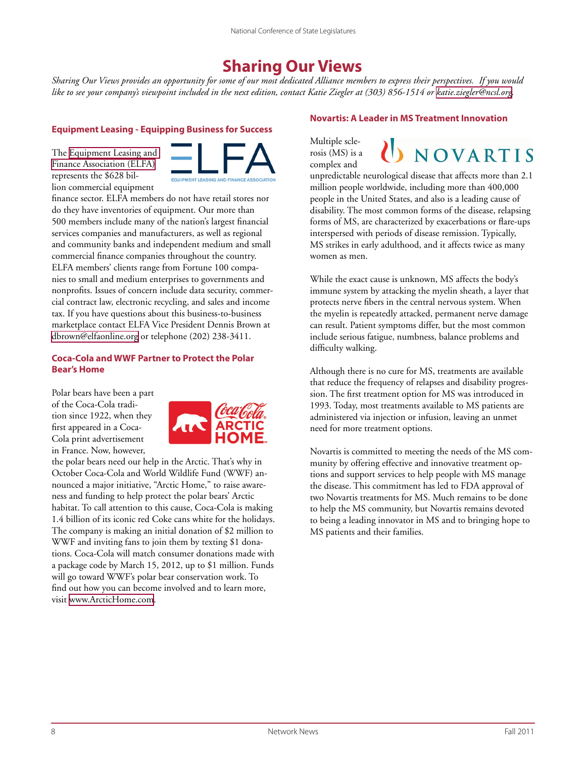## **Sharing Our Views**

*Sharing Our Views provides an opportunity for some of our most dedicated Alliance members to express their perspectives. If you would*  like to see your company's viewpoint included in the next edition, contact Katie Ziegler at (303) 856-1514 or [katie.ziegler@ncsl.org.](mailto:katie.ziegler@ncsl.org)

#### **Equipment Leasing - Equipping Business for Success**

The [Equipment Leasing and](http://www.elfaonline.org/)  [Finance Association \(ELFA\)](http://www.elfaonline.org/) represents the \$628 billion commercial equipment



finance sector. ELFA members do not have retail stores nor do they have inventories of equipment. Our more than 500 members include many of the nation's largest financial services companies and manufacturers, as well as regional and community banks and independent medium and small commercial finance companies throughout the country. ELFA members' clients range from Fortune 100 companies to small and medium enterprises to governments and nonprofits. Issues of concern include data security, commercial contract law, electronic recycling, and sales and income tax. If you have questions about this business-to-business marketplace contact ELFA Vice President Dennis Brown at [dbrown@elfaonline.org](mailto:dbrown@elfaonline.org) or telephone (202) 238-3411.

#### **Coca-Cola and WWF Partner to Protect the Polar Bear's Home**

Polar bears have been a part of the Coca-Cola tradition since 1922, when they first appeared in a Coca-Cola print advertisement in France. Now, however,



the polar bears need our help in the Arctic. That's why in October Coca-Cola and World Wildlife Fund (WWF) announced a major initiative, "Arctic Home," to raise awareness and funding to help protect the polar bears' Arctic habitat. To call attention to this cause, Coca-Cola is making 1.4 billion of its iconic red Coke cans white for the holidays. The company is making an initial donation of \$2 million to WWF and inviting fans to join them by texting \$1 donations. Coca-Cola will match consumer donations made with a package code by March 15, 2012, up to \$1 million. Funds will go toward WWF's polar bear conservation work. To find out how you can become involved and to learn more, visit [www.ArcticHome.com.](http://www.ArcticHome.com)

#### **Novartis: A Leader in MS Treatment Innovation**

Multiple sclerosis (MS) is a complex and



unpredictable neurological disease that affects more than 2.1 million people worldwide, including more than 400,000 people in the United States, and also is a leading cause of disability. The most common forms of the disease, relapsing forms of MS, are characterized by exacerbations or flare-ups interspersed with periods of disease remission. Typically, MS strikes in early adulthood, and it affects twice as many women as men.

While the exact cause is unknown, MS affects the body's immune system by attacking the myelin sheath, a layer that protects nerve fibers in the central nervous system. When the myelin is repeatedly attacked, permanent nerve damage can result. Patient symptoms differ, but the most common include serious fatigue, numbness, balance problems and difficulty walking.

Although there is no cure for MS, treatments are available that reduce the frequency of relapses and disability progression. The first treatment option for MS was introduced in 1993. Today, most treatments available to MS patients are administered via injection or infusion, leaving an unmet need for more treatment options.

Novartis is committed to meeting the needs of the MS community by offering effective and innovative treatment options and support services to help people with MS manage the disease. This commitment has led to FDA approval of two Novartis treatments for MS. Much remains to be done to help the MS community, but Novartis remains devoted to being a leading innovator in MS and to bringing hope to MS patients and their families.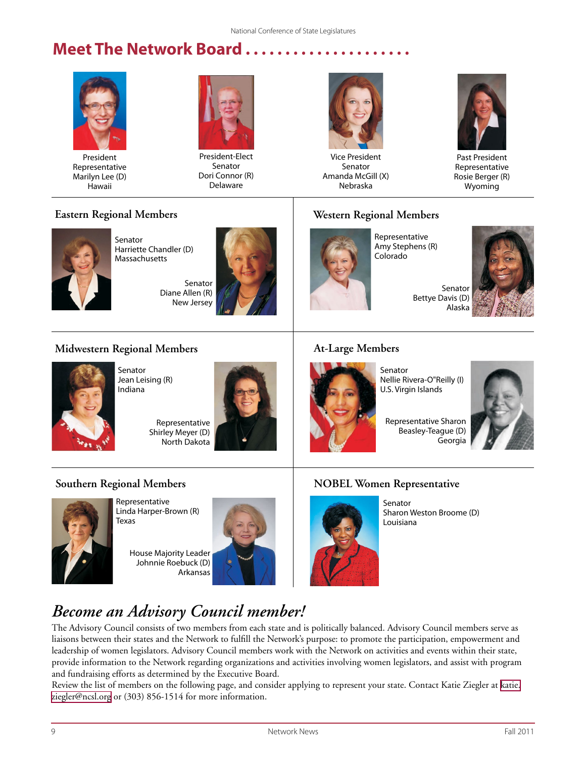# **Meet The Network Board.**



President Representative Marilyn Lee (D) Hawaii



President-Elect Senator Dori Connor (R) Delaware



Vice President Senator Amanda McGill (X) Nebraska



Past President Representative Rosie Berger (R) Wyoming

### **Eastern Regional Members**



Senator Harriette Chandler (D) Massachusetts

> Senator Diane Allen (R) New Jersey



### **Western Regional Members**



Representative Amy Stephens (R) Colorado



**Midwestern Regional Members**



Senator Jean Leising (R) Indiana

Representative Shirley Meyer (D) North Dakota



#### **At-Large Members**

Representative Sharon Beasley-Teague (D) Georgia Nellie Rivera-O"Reilly (I)

# **Southern Regional Members**



Representative Linda Harper-Brown (R) Texas

House Majority Leader Johnnie Roebuck (D) Arkansas





Senator

U.S. Virgin Islands



Senator Sharon Weston Broome (D) Louisiana

# *Become an Advisory Council member!*

The Advisory Council consists of two members from each state and is politically balanced. Advisory Council members serve as liaisons between their states and the Network to fulfill the Network's purpose: to promote the participation, empowerment and leadership of women legislators. Advisory Council members work with the Network on activities and events within their state, provide information to the Network regarding organizations and activities involving women legislators, and assist with program and fundraising efforts as determined by the Executive Board.

Review the list of members on the following page, and consider applying to represent your state. Contact Katie Ziegler at [katie.](mailto:katie.ziegler@ncsl.org) [ziegler@ncsl.org](mailto:katie.ziegler@ncsl.org) or (303) 856-1514 for more information.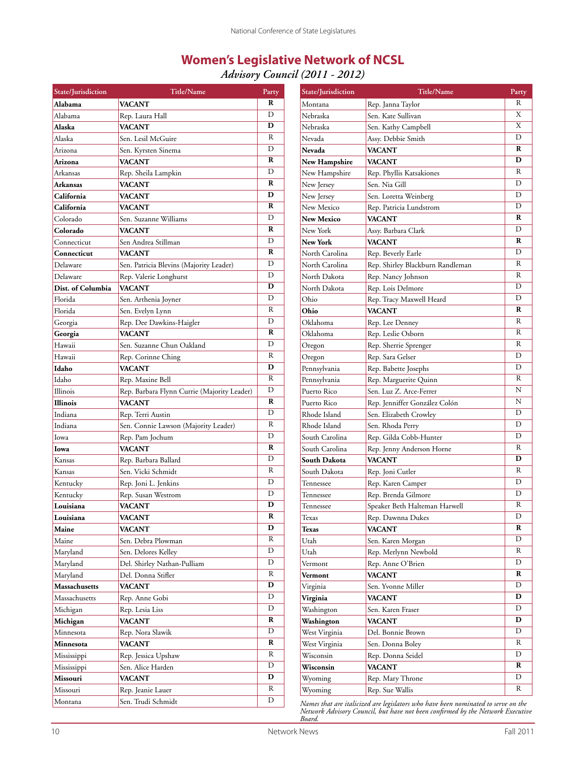### **Women's Legislative Network of NCSL**

*Advisory Council (2011 - 2012)*

| State/Jurisdiction | <b>Title/Name</b>                           | Party                   | State/Jurisdiction                                                                | Title/Name                       | Party                   |  |
|--------------------|---------------------------------------------|-------------------------|-----------------------------------------------------------------------------------|----------------------------------|-------------------------|--|
| Alabama            | VACANT                                      | ${\bf R}$               | Montana                                                                           | Rep. Janna Taylor                | $\overline{R}$          |  |
| Alabama            | Rep. Laura Hall                             | $\mathbf D$             | Nebraska                                                                          | Sen. Kate Sullivan               | $\overline{X}$          |  |
| Alaska             | <b>VACANT</b>                               | $\mathbf D$             | Nebraska                                                                          | Sen. Kathy Campbell              | $\overline{\text{X}}$   |  |
| Alaska             | Sen. Lesil McGuire                          | $\, {\bf R}$            | Nevada                                                                            | Assy. Debbie Smith               | $\mathbf D$             |  |
| Arizona            | Sen. Kyrsten Sinema                         | $\mathbf D$             | <b>Nevada</b>                                                                     | <b>VACANT</b>                    | $\mathbf R$             |  |
| Arizona            | <b>VACANT</b>                               | ${\bf R}$               | New Hampshire                                                                     | <b>VACANT</b>                    | $\mathbf D$             |  |
| Arkansas           | Rep. Sheila Lampkin                         | $\mathbf D$             | New Hampshire                                                                     | Rep. Phyllis Katsakiones         | $\, {\bf R}$            |  |
| Arkansas           | VACANT                                      | ${\bf R}$               | New Jersey                                                                        | Sen. Nia Gill                    | $\mathbf D$             |  |
| California         | VACANT                                      | $\mathbf D$             | New Jersey                                                                        | Sen. Loretta Weinberg            | $\overline{D}$          |  |
| California         | VACANT                                      | $\mathbf R$             | New Mexico                                                                        | Rep. Patricia Lundstrom          | $\overline{D}$          |  |
| Colorado           | Sen. Suzanne Williams                       | $\mathbf D$             | <b>New Mexico</b>                                                                 | <b>VACANT</b>                    | $\mathbf R$             |  |
| Colorado           | <b>VACANT</b>                               | ${\bf R}$               | New York                                                                          | Assy. Barbara Clark              | $\mathbf D$             |  |
| Connecticut        | Sen Andrea Stillman                         | $\mathbf D$             | New York                                                                          | <b>VACANT</b>                    | $\mathbf R$             |  |
| Connecticut        | <b>VACANT</b>                               | ${\bf R}$               | North Carolina                                                                    | Rep. Beverly Earle               | $\overline{D}$          |  |
| Delaware           | Sen. Patricia Blevins (Majority Leader)     | $\mathbf D$             | North Carolina                                                                    | Rep. Shirley Blackburn Randleman | $\, {\bf R}$            |  |
| Delaware           | Rep. Valerie Longhurst                      | $\mathbf D$             | North Dakota                                                                      | Rep. Nancy Johnson               | $\, {\bf R}$            |  |
| Dist. of Columbia  | <b>VACANT</b>                               | $\mathbf D$             | North Dakota                                                                      | Rep. Lois Delmore                | $\mathbf D$             |  |
| Florida            | Sen. Arthenia Joyner                        | $\mathbf D$             | Ohio                                                                              | Rep. Tracy Maxwell Heard         | $\overline{D}$          |  |
| Florida            | Sen. Evelyn Lynn                            | $\overline{R}$          | Ohio                                                                              | <b>VACANT</b>                    | $\mathbf R$             |  |
| Georgia            | Rep. Dee Dawkins-Haigler                    | $\mathbf D$             | Oklahoma                                                                          | Rep. Lee Denney                  | $\mathbb{R}$            |  |
| Georgia            | <b>VACANT</b>                               | $\mathbf R$             | Oklahoma                                                                          | Rep. Leslie Osborn               | $\, {\bf R}$            |  |
| Hawaii             | Sen. Suzanne Chun Oakland                   | $\mathbf D$             | Oregon                                                                            | Rep. Sherrie Sprenger            | $\, {\bf R}$            |  |
| Hawaii             | Rep. Corinne Ching                          | $\overline{R}$          | Oregon                                                                            | Rep. Sara Gelser                 | $\overline{D}$          |  |
| Idaho              | <b>VACANT</b>                               | D                       | Pennsylvania                                                                      | Rep. Babette Josephs             | D                       |  |
| Idaho              | Rep. Maxine Bell                            | $\overline{R}$          | Pennsylvania                                                                      | Rep. Marguerite Quinn            | $\, {\bf R}$            |  |
| Illinois           | Rep. Barbara Flynn Currie (Majority Leader) | $\mathbf D$             | Puerto Rico                                                                       | Sen. Luz Z. Arce-Ferrer          | $\mathbf N$             |  |
| Illinois           | <b>VACANT</b>                               | $\mathbf R$             | Puerto Rico                                                                       | Rep. Jenniffer González Colón    | $\mathbf N$             |  |
| Indiana            | Rep. Terri Austin                           | $\overline{D}$          | Rhode Island                                                                      | Sen. Elizabeth Crowley           | D                       |  |
| Indiana            | Sen. Connie Lawson (Majority Leader)        | $\, {\bf R}$            | Rhode Island                                                                      | Sen. Rhoda Perry                 | D                       |  |
| Iowa               | Rep. Pam Jochum                             | $\mathbf D$             | South Carolina                                                                    | Rep. Gilda Cobb-Hunter           | D                       |  |
| Iowa               | <b>VACANT</b>                               | $\mathbf R$             | South Carolina                                                                    | Rep. Jenny Anderson Horne        | $\, {\bf R}$            |  |
| Kansas             | Rep. Barbara Ballard                        | $\mathbf D$             | <b>South Dakota</b>                                                               | <b>VACANT</b>                    | $\mathbf D$             |  |
| Kansas             | Sen. Vicki Schmidt                          | $\, {\bf R}$            | South Dakota                                                                      | Rep. Joni Cutler                 | $\, {\bf R}$            |  |
| Kentucky           | Rep. Joni L. Jenkins                        | $\mathbf D$             | Tennessee                                                                         | Rep. Karen Camper                | $\mathbf D$             |  |
| Kentucky           | Rep. Susan Westrom                          | $\mathbf D$             | Tennessee                                                                         | Rep. Brenda Gilmore              | $\mathbf D$             |  |
| Louisiana          | <b>VACANT</b>                               | D                       | Tennessee                                                                         | Speaker Beth Halteman Harwell    | $\overline{\mathbf{R}}$ |  |
| Louisiana          | <b>VACANT</b>                               | $\overline{\mathbf{R}}$ | Texas                                                                             | Rep. Dawnna Dukes                | D                       |  |
| Maine              | VACANT                                      | $\mathbf D$             | Texas                                                                             | <b>VACANT</b>                    | $\bf R$                 |  |
| Maine              | Sen. Debra Plowman                          | R                       | Utah                                                                              | Sen. Karen Morgan                | D                       |  |
| Maryland           | Sen. Delores Kelley                         | $\mathbf D$             | Utah                                                                              | Rep. Merlynn Newbold             | $\mathbb{R}$            |  |
| Maryland           | Del. Shirley Nathan-Pulliam                 | $\mathbf D$             | Vermont                                                                           | Rep. Anne O'Brien                | D                       |  |
| Maryland           | Del. Donna Stifler                          | $\, {\bf R}$            | Vermont                                                                           | <b>VACANT</b>                    | $\mathbf R$             |  |
| Massachusetts      | <b>VACANT</b>                               | $\mathbf D$             | Virginia                                                                          | Sen. Yvonne Miller               | $\mathbf D$             |  |
| Massachusetts      | Rep. Anne Gobi                              | $\mathbf D$             | Virginia                                                                          | <b>VACANT</b>                    | $\mathbf D$             |  |
| Michigan           | Rep. Lesia Liss                             | $\mathbf D$             | Washington                                                                        | Sen. Karen Fraser                | D                       |  |
| Michigan           | <b>VACANT</b>                               | $\mathbf R$             | Washington                                                                        | <b>VACANT</b>                    | $\mathbf D$             |  |
| Minnesota          | Rep. Nora Slawik                            | $\mathbf D$             | West Virginia                                                                     | Del. Bonnie Brown                | $\mathbf D$             |  |
| Minnesota          | <b>VACANT</b>                               | $\mathbf R$             | West Virginia                                                                     | Sen. Donna Boley                 | $\mathbb{R}$            |  |
| Mississippi        | Rep. Jessica Upshaw                         | $\mathbb{R}$            | Wisconsin                                                                         | Rep. Donna Seidel                | D                       |  |
| Mississippi        | Sen. Alice Harden                           | $\mathbf D$             | Wisconsin                                                                         | <b>VACANT</b>                    | $\mathbf R$             |  |
| Missouri           | <b>VACANT</b>                               | $\mathbf D$             | Wyoming                                                                           | Rep. Mary Throne                 | D                       |  |
| Missouri           | Rep. Jeanie Lauer                           | ${\bf R}$               | Wyoming                                                                           | Rep. Sue Wallis                  | R                       |  |
| Montana            | Sen. Trudi Schmidt                          | $\overline{D}$          | Names that are italicized are legislators who have been nominated to serve on the |                                  |                         |  |

*Names that are italicized are legislators who have been nominated to serve on the Network Advisory Council, but have not been confirmed by the Network Executive Board.*